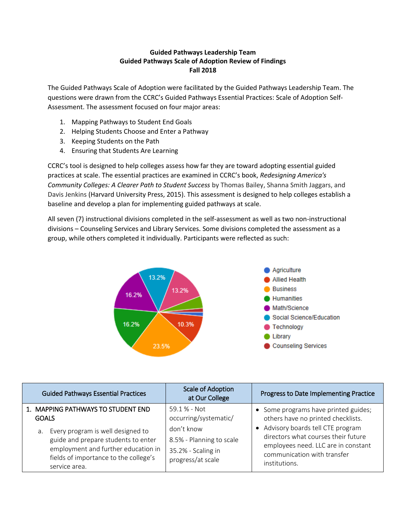## **Guided Pathways Leadership Team Guided Pathways Scale of Adoption Review of Findings Fall 2018**

The Guided Pathways Scale of Adoption were facilitated by the Guided Pathways Leadership Team. The questions were drawn from the CCRC's Guided Pathways Essential Practices: Scale of Adoption Self-Assessment. The assessment focused on four major areas:

- 1. Mapping Pathways to Student End Goals
- 2. Helping Students Choose and Enter a Pathway
- 3. Keeping Students on the Path
- 4. Ensuring that Students Are Learning

CCRC's tool is designed to help colleges assess how far they are toward adopting essential guided practices at scale. The essential practices are examined in CCRC's book, *Redesigning America's Community Colleges: A Clearer Path to Student Success* by Thomas Bailey, Shanna Smith Jaggars, and Davis Jenkins (Harvard University Press, 2015). This assessment is designed to help colleges establish a baseline and develop a plan for implementing guided pathways at scale.

All seven (7) instructional divisions completed in the self-assessment as well as two non-instructional divisions – Counseling Services and Library Services. Some divisions completed the assessment as a group, while others completed it individually. Participants were reflected as such:



| <b>Guided Pathways Essential Practices</b>                                                                                                                                   | <b>Scale of Adoption</b><br>at Our College                                        | Progress to Date Implementing Practice                                                                                                                         |
|------------------------------------------------------------------------------------------------------------------------------------------------------------------------------|-----------------------------------------------------------------------------------|----------------------------------------------------------------------------------------------------------------------------------------------------------------|
| 1. MAPPING PATHWAYS TO STUDENT END<br><b>GOALS</b>                                                                                                                           | $59.1%$ - Not<br>occurring/systematic/                                            | • Some programs have printed guides;<br>others have no printed checklists.                                                                                     |
| a. Every program is well designed to<br>guide and prepare students to enter<br>employment and further education in<br>fields of importance to the college's<br>service area. | don't know<br>8.5% - Planning to scale<br>35.2% - Scaling in<br>progress/at scale | Advisory boards tell CTE program<br>directors what courses their future<br>employees need. LLC are in constant<br>communication with transfer<br>institutions. |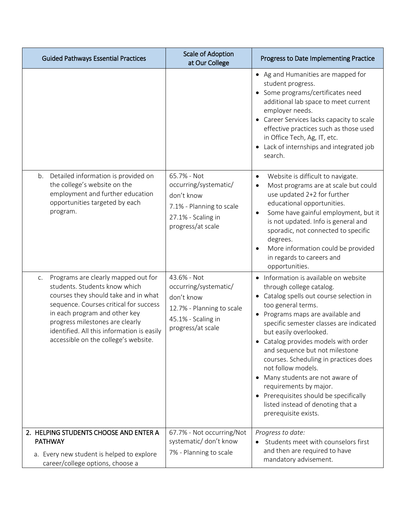| <b>Guided Pathways Essential Practices</b>                                                                                                                                                                                                                                                                             | Scale of Adoption<br>at Our College                                                                                        | Progress to Date Implementing Practice                                                                                                                                                                                                                                                                                                                                                                                                                                                                                                               |
|------------------------------------------------------------------------------------------------------------------------------------------------------------------------------------------------------------------------------------------------------------------------------------------------------------------------|----------------------------------------------------------------------------------------------------------------------------|------------------------------------------------------------------------------------------------------------------------------------------------------------------------------------------------------------------------------------------------------------------------------------------------------------------------------------------------------------------------------------------------------------------------------------------------------------------------------------------------------------------------------------------------------|
|                                                                                                                                                                                                                                                                                                                        |                                                                                                                            | • Ag and Humanities are mapped for<br>student progress.<br>Some programs/certificates need<br>$\bullet$<br>additional lab space to meet current<br>employer needs.<br>Career Services lacks capacity to scale<br>effective practices such as those used<br>in Office Tech, Ag, IT, etc.<br>Lack of internships and integrated job<br>search.                                                                                                                                                                                                         |
| Detailed information is provided on<br>b.<br>the college's website on the<br>employment and further education<br>opportunities targeted by each<br>program.                                                                                                                                                            | 65.7% - Not<br>occurring/systematic/<br>don't know<br>7.1% - Planning to scale<br>27.1% - Scaling in<br>progress/at scale  | Website is difficult to navigate.<br>$\bullet$<br>Most programs are at scale but could<br>use updated 2+2 for further<br>educational opportunities.<br>Some have gainful employment, but it<br>$\bullet$<br>is not updated. Info is general and<br>sporadic, not connected to specific<br>degrees.<br>More information could be provided<br>$\bullet$<br>in regards to careers and<br>opportunities.                                                                                                                                                 |
| Programs are clearly mapped out for<br>C.<br>students. Students know which<br>courses they should take and in what<br>sequence. Courses critical for success<br>in each program and other key<br>progress milestones are clearly<br>identified. All this information is easily<br>accessible on the college's website. | 43.6% - Not<br>occurring/systematic/<br>don't know<br>12.7% - Planning to scale<br>45.1% - Scaling in<br>progress/at scale | Information is available on website<br>through college catalog.<br>Catalog spells out course selection in<br>too general terms.<br>Programs maps are available and<br>٠<br>specific semester classes are indicated<br>but easily overlooked.<br>Catalog provides models with order<br>and sequence but not milestone<br>courses. Scheduling in practices does<br>not follow models.<br>Many students are not aware of<br>requirements by major.<br>Prerequisites should be specifically<br>listed instead of denoting that a<br>prerequisite exists. |
| 2. HELPING STUDENTS CHOOSE AND ENTER A<br><b>PATHWAY</b>                                                                                                                                                                                                                                                               | 67.7% - Not occurring/Not<br>systematic/don't know<br>7% - Planning to scale                                               | Progress to date:<br>Students meet with counselors first<br>and then are required to have                                                                                                                                                                                                                                                                                                                                                                                                                                                            |
| a. Every new student is helped to explore<br>career/college options, choose a                                                                                                                                                                                                                                          |                                                                                                                            | mandatory advisement.                                                                                                                                                                                                                                                                                                                                                                                                                                                                                                                                |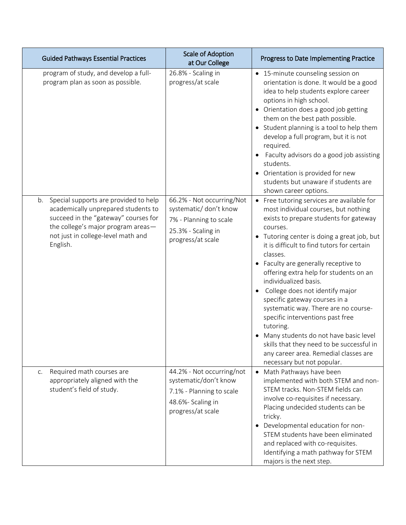|                | <b>Guided Pathways Essential Practices</b>                                                                                                                                                       | <b>Scale of Adoption</b><br>at Our College                                                                               | Progress to Date Implementing Practice                                                                                                                                                                                                                                                                                                                                                                                                                                                                                                                                                                                                                                             |
|----------------|--------------------------------------------------------------------------------------------------------------------------------------------------------------------------------------------------|--------------------------------------------------------------------------------------------------------------------------|------------------------------------------------------------------------------------------------------------------------------------------------------------------------------------------------------------------------------------------------------------------------------------------------------------------------------------------------------------------------------------------------------------------------------------------------------------------------------------------------------------------------------------------------------------------------------------------------------------------------------------------------------------------------------------|
|                | program of study, and develop a full-<br>program plan as soon as possible.                                                                                                                       | 26.8% - Scaling in<br>progress/at scale                                                                                  | • 15-minute counseling session on<br>orientation is done. It would be a good<br>idea to help students explore career<br>options in high school.<br>• Orientation does a good job getting<br>them on the best path possible.<br>Student planning is a tool to help them<br>$\bullet$<br>develop a full program, but it is not<br>required.<br>Faculty advisors do a good job assisting<br>students.<br>Orientation is provided for new<br>students but unaware if students are<br>shown career options.                                                                                                                                                                             |
| b.<br>English. | Special supports are provided to help<br>academically unprepared students to<br>succeed in the "gateway" courses for<br>the college's major program areas-<br>not just in college-level math and | 66.2% - Not occurring/Not<br>systematic/ don't know<br>7% - Planning to scale<br>25.3% - Scaling in<br>progress/at scale | • Free tutoring services are available for<br>most individual courses, but nothing<br>exists to prepare students for gateway<br>courses.<br>Tutoring center is doing a great job, but<br>it is difficult to find tutors for certain<br>classes.<br>Faculty are generally receptive to<br>offering extra help for students on an<br>individualized basis.<br>College does not identify major<br>specific gateway courses in a<br>systematic way. There are no course-<br>specific interventions past free<br>tutoring.<br>Many students do not have basic level<br>skills that they need to be successful in<br>any career area. Remedial classes are<br>necessary but not popular. |
| C.             | Required math courses are<br>appropriately aligned with the<br>student's field of study.                                                                                                         | 44.2% - Not occurring/not<br>systematic/don't know<br>7.1% - Planning to scale<br>48.6%- Scaling in<br>progress/at scale | • Math Pathways have been<br>implemented with both STEM and non-<br>STEM tracks. Non-STEM fields can<br>involve co-requisites if necessary.<br>Placing undecided students can be<br>tricky.<br>Developmental education for non-<br>$\bullet$<br>STEM students have been eliminated<br>and replaced with co-requisites.<br>Identifying a math pathway for STEM<br>majors is the next step.                                                                                                                                                                                                                                                                                          |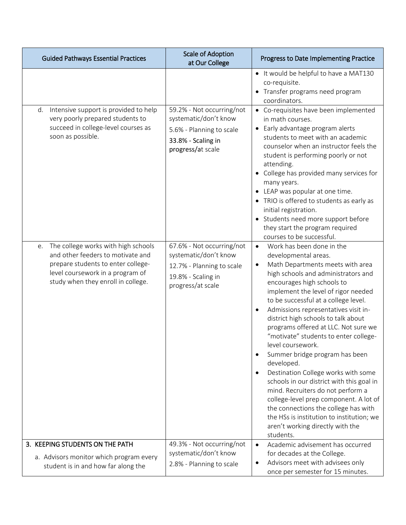| <b>Guided Pathways Essential Practices</b>                                                                                                                                                     | <b>Scale of Adoption</b><br>at Our College                                                                                 | Progress to Date Implementing Practice                                                                                                                                                                                                                                                                                                                                                                                                                                                                                                                                                                                                                                                                                                                                                               |
|------------------------------------------------------------------------------------------------------------------------------------------------------------------------------------------------|----------------------------------------------------------------------------------------------------------------------------|------------------------------------------------------------------------------------------------------------------------------------------------------------------------------------------------------------------------------------------------------------------------------------------------------------------------------------------------------------------------------------------------------------------------------------------------------------------------------------------------------------------------------------------------------------------------------------------------------------------------------------------------------------------------------------------------------------------------------------------------------------------------------------------------------|
|                                                                                                                                                                                                |                                                                                                                            | • It would be helpful to have a MAT130<br>co-requisite.<br>Transfer programs need program<br>coordinators.                                                                                                                                                                                                                                                                                                                                                                                                                                                                                                                                                                                                                                                                                           |
| Intensive support is provided to help<br>d.<br>very poorly prepared students to<br>succeed in college-level courses as<br>soon as possible.                                                    | 59.2% - Not occurring/not<br>systematic/don't know<br>5.6% - Planning to scale<br>33.8% - Scaling in<br>progress/at scale  | • Co-requisites have been implemented<br>in math courses.<br>• Early advantage program alerts<br>students to meet with an academic<br>counselor when an instructor feels the<br>student is performing poorly or not<br>attending.<br>College has provided many services for<br>many years.<br>LEAP was popular at one time.<br>• TRIO is offered to students as early as<br>initial registration.<br>Students need more support before<br>they start the program required<br>courses to be successful.                                                                                                                                                                                                                                                                                               |
| The college works with high schools<br>e.<br>and other feeders to motivate and<br>prepare students to enter college-<br>level coursework in a program of<br>study when they enroll in college. | 67.6% - Not occurring/not<br>systematic/don't know<br>12.7% - Planning to scale<br>19.8% - Scaling in<br>progress/at scale | Work has been done in the<br>$\bullet$<br>developmental areas.<br>Math Departments meets with area<br>high schools and administrators and<br>encourages high schools to<br>implement the level of rigor needed<br>to be successful at a college level.<br>Admissions representatives visit in-<br>district high schools to talk about<br>programs offered at LLC. Not sure we<br>"motivate" students to enter college-<br>level coursework.<br>Summer bridge program has been<br>developed.<br>Destination College works with some<br>schools in our district with this goal in<br>mind. Recruiters do not perform a<br>college-level prep component. A lot of<br>the connections the college has with<br>the HSs is institution to institution; we<br>aren't working directly with the<br>students. |
| 3. KEEPING STUDENTS ON THE PATH<br>a. Advisors monitor which program every<br>student is in and how far along the                                                                              | 49.3% - Not occurring/not<br>systematic/don't know<br>2.8% - Planning to scale                                             | Academic advisement has occurred<br>for decades at the College.<br>Advisors meet with advisees only<br>once per semester for 15 minutes.                                                                                                                                                                                                                                                                                                                                                                                                                                                                                                                                                                                                                                                             |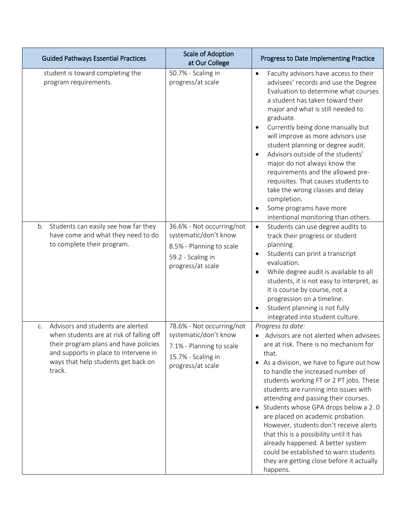| <b>Guided Pathways Essential Practices</b>                                                                                                                                                                             | <b>Scale of Adoption</b><br>at Our College                                                                                | Progress to Date Implementing Practice                                                                                                                                                                                                                                                                                                                                                                                                                                                                                                                                                                                                   |
|------------------------------------------------------------------------------------------------------------------------------------------------------------------------------------------------------------------------|---------------------------------------------------------------------------------------------------------------------------|------------------------------------------------------------------------------------------------------------------------------------------------------------------------------------------------------------------------------------------------------------------------------------------------------------------------------------------------------------------------------------------------------------------------------------------------------------------------------------------------------------------------------------------------------------------------------------------------------------------------------------------|
| student is toward completing the<br>program requirements.                                                                                                                                                              | 50.7% - Scaling in<br>progress/at scale                                                                                   | Faculty advisors have access to their<br>$\bullet$<br>advisees' records and use the Degree<br>Evaluation to determine what courses<br>a student has taken toward their<br>major and what is still needed to<br>graduate.<br>Currently being done manually but<br>will improve as more advisors use<br>student planning or degree audit.<br>Advisors outside of the students'<br>major do not always know the<br>requirements and the allowed pre-<br>requisites. That causes students to<br>take the wrong classes and delay<br>completion.<br>Some programs have more<br>intentional monitoring than others.                            |
| Students can easily see how far they<br>b.<br>have come and what they need to do<br>to complete their program.                                                                                                         | 36.6% - Not occurring/not<br>systematic/don't know<br>8.5% - Planning to scale<br>59.2 - Scaling in<br>progress/at scale  | Students can use degree audits to<br>$\bullet$<br>track their progress or student<br>planning.<br>Students can print a transcript<br>٠<br>evaluation.<br>While degree audit is available to all<br>students, it is not easy to interpret, as<br>it is course by course, not a<br>progression on a timeline.<br>Student planning is not fully<br>integrated into student culture.                                                                                                                                                                                                                                                         |
| Advisors and students are alerted<br>C.<br>when students are at risk of falling off<br>their program plans and have policies<br>and supports in place to intervene in<br>ways that help students get back on<br>track. | 78.6% - Not occurring/not<br>systematic/don't know<br>7.1% - Planning to scale<br>15.7% - Scaling in<br>progress/at scale | Progress to date:<br>Advisors are not alerted when advisees<br>are at risk. There is no mechanism for<br>that.<br>• As a division, we have to figure out how<br>to handle the increased number of<br>students working FT or 2 PT jobs. These<br>students are running into issues with<br>attending and passing their courses.<br>• Students whose GPA drops below a 2.0<br>are placed on academic probation.<br>However, students don't receive alerts<br>that this is a possibility until it has<br>already happened. A better system<br>could be established to warn students<br>they are getting close before it actually<br>happens. |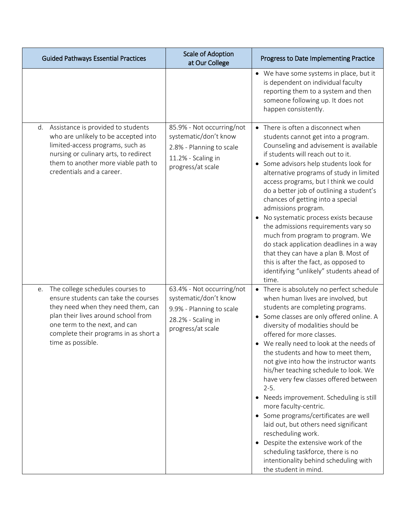| <b>Guided Pathways Essential Practices</b>                                                                                                                                                                                                                 | <b>Scale of Adoption</b><br>at Our College                                                                                | Progress to Date Implementing Practice                                                                                                                                                                                                                                                                                                                                                                                                                                                                                                                                                                                                                                                                                                                                        |
|------------------------------------------------------------------------------------------------------------------------------------------------------------------------------------------------------------------------------------------------------------|---------------------------------------------------------------------------------------------------------------------------|-------------------------------------------------------------------------------------------------------------------------------------------------------------------------------------------------------------------------------------------------------------------------------------------------------------------------------------------------------------------------------------------------------------------------------------------------------------------------------------------------------------------------------------------------------------------------------------------------------------------------------------------------------------------------------------------------------------------------------------------------------------------------------|
|                                                                                                                                                                                                                                                            |                                                                                                                           | • We have some systems in place, but it<br>is dependent on individual faculty<br>reporting them to a system and then<br>someone following up. It does not<br>happen consistently.                                                                                                                                                                                                                                                                                                                                                                                                                                                                                                                                                                                             |
| d. Assistance is provided to students<br>who are unlikely to be accepted into<br>limited-access programs, such as<br>nursing or culinary arts, to redirect<br>them to another more viable path to<br>credentials and a career.                             | 85.9% - Not occurring/not<br>systematic/don't know<br>2.8% - Planning to scale<br>11.2% - Scaling in<br>progress/at scale | • There is often a disconnect when<br>students cannot get into a program.<br>Counseling and advisement is available<br>if students will reach out to it.<br>Some advisors help students look for<br>alternative programs of study in limited<br>access programs, but I think we could<br>do a better job of outlining a student's<br>chances of getting into a special<br>admissions program.<br>No systematic process exists because<br>the admissions requirements vary so<br>much from program to program. We<br>do stack application deadlines in a way<br>that they can have a plan B. Most of<br>this is after the fact, as opposed to<br>identifying "unlikely" students ahead of<br>time.                                                                             |
| The college schedules courses to<br>e.<br>ensure students can take the courses<br>they need when they need them, can<br>plan their lives around school from<br>one term to the next, and can<br>complete their programs in as short a<br>time as possible. | 63.4% - Not occurring/not<br>systematic/don't know<br>9.9% - Planning to scale<br>28.2% - Scaling in<br>progress/at scale | • There is absolutely no perfect schedule<br>when human lives are involved, but<br>students are completing programs.<br>• Some classes are only offered online. A<br>diversity of modalities should be<br>offered for more classes.<br>We really need to look at the needs of<br>the students and how to meet them,<br>not give into how the instructor wants<br>his/her teaching schedule to look. We<br>have very few classes offered between<br>$2-5.$<br>Needs improvement. Scheduling is still<br>more faculty-centric.<br>Some programs/certificates are well<br>laid out, but others need significant<br>rescheduling work.<br>Despite the extensive work of the<br>scheduling taskforce, there is no<br>intentionality behind scheduling with<br>the student in mind. |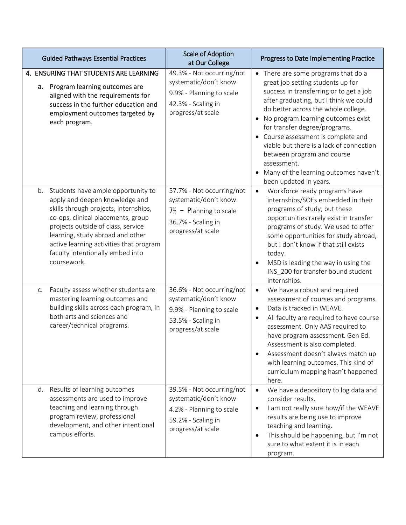| <b>Guided Pathways Essential Practices</b>                                                                                                                                                                                                                                                                                     | Scale of Adoption<br>at Our College                                                                                        | Progress to Date Implementing Practice                                                                                                                                                                                                                                                                                                                                                                                                                                                                 |
|--------------------------------------------------------------------------------------------------------------------------------------------------------------------------------------------------------------------------------------------------------------------------------------------------------------------------------|----------------------------------------------------------------------------------------------------------------------------|--------------------------------------------------------------------------------------------------------------------------------------------------------------------------------------------------------------------------------------------------------------------------------------------------------------------------------------------------------------------------------------------------------------------------------------------------------------------------------------------------------|
| 4. ENSURING THAT STUDENTS ARE LEARNING<br>a. Program learning outcomes are<br>aligned with the requirements for<br>success in the further education and<br>employment outcomes targeted by<br>each program.                                                                                                                    | 49.3% - Not occurring/not<br>systematic/don't know<br>9.9% - Planning to scale<br>42.3% - Scaling in<br>progress/at scale  | • There are some programs that do a<br>great job setting students up for<br>success in transferring or to get a job<br>after graduating, but I think we could<br>do better across the whole college.<br>No program learning outcomes exist<br>$\bullet$<br>for transfer degree/programs.<br>Course assessment is complete and<br>$\bullet$<br>viable but there is a lack of connection<br>between program and course<br>assessment.<br>Many of the learning outcomes haven't<br>been updated in years. |
| b. Students have ample opportunity to<br>apply and deepen knowledge and<br>skills through projects, internships,<br>co-ops, clinical placements, group<br>projects outside of class, service<br>learning, study abroad and other<br>active learning activities that program<br>faculty intentionally embed into<br>coursework. | 57.7% - Not occurring/not<br>systematic/don't know<br>$7\%$ - Planning to scale<br>36.7% - Scaling in<br>progress/at scale | Workforce ready programs have<br>$\bullet$<br>internships/SOEs embedded in their<br>programs of study, but these<br>opportunities rarely exist in transfer<br>programs of study. We used to offer<br>some opportunities for study abroad,<br>but I don't know if that still exists<br>today.<br>MSD is leading the way in using the<br>INS_200 for transfer bound student<br>internships.                                                                                                              |
| Faculty assess whether students are<br>C.<br>mastering learning outcomes and<br>building skills across each program, in<br>both arts and sciences and<br>career/technical programs.                                                                                                                                            | 36.6% - Not occurring/not<br>systematic/don't know<br>9.9% - Planning to scale<br>53.5% - Scaling in<br>progress/at scale  | We have a robust and required<br>$\bullet$<br>assessment of courses and programs.<br>Data is tracked in WEAVE.<br>$\bullet$<br>All faculty are required to have course<br>$\bullet$<br>assessment. Only AAS required to<br>have program assessment. Gen Ed.<br>Assessment is also completed.<br>Assessment doesn't always match up<br>$\bullet$<br>with learning outcomes. This kind of<br>curriculum mapping hasn't happened<br>here.                                                                 |
| d. Results of learning outcomes<br>assessments are used to improve<br>teaching and learning through<br>program review, professional<br>development, and other intentional<br>campus efforts.                                                                                                                                   | 39.5% - Not occurring/not<br>systematic/don't know<br>4.2% - Planning to scale<br>59.2% - Scaling in<br>progress/at scale  | We have a depository to log data and<br>consider results.<br>I am not really sure how/if the WEAVE<br>$\bullet$<br>results are being use to improve<br>teaching and learning.<br>This should be happening, but I'm not<br>$\bullet$<br>sure to what extent it is in each<br>program.                                                                                                                                                                                                                   |